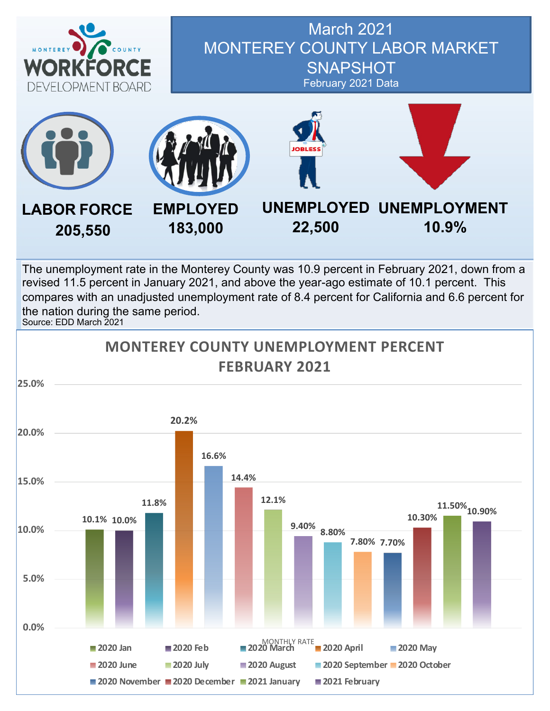

## March 2021 MONTEREY COUNTY LABOR MARKET **SNAPSHOT** February 2021 Data



The unemployment rate in the Monterey County was 10.9 percent in February 2021, down from a revised 11.5 percent in January 2021, and above the year-ago estimate of 10.1 percent. This compares with an unadjusted unemployment rate of 8.4 percent for California and 6.6 percent for the nation during the same period. Source: EDD March 2021

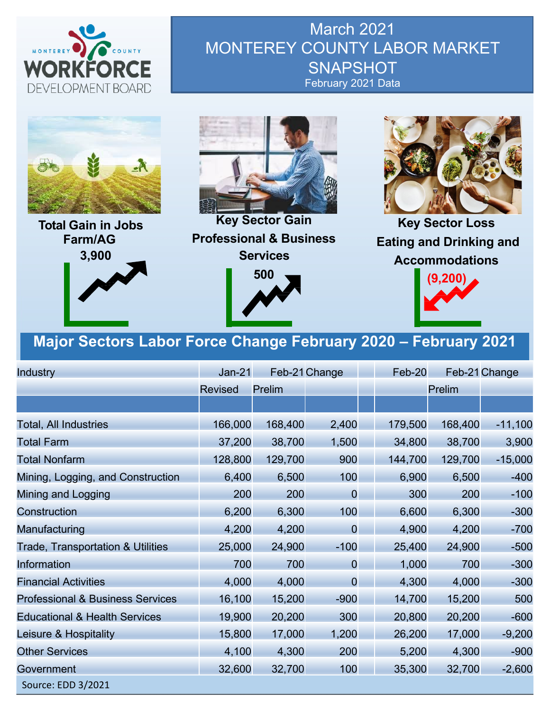

March 2021 MONTEREY COUNTY LABOR MARKET **SNAPSHOT** February 2021 Data



**Total Gain in Jobs Farm/AG 3,900**



**Key Sector Gain Professional & Business Services 500**



**Key Sector Loss Eating and Drinking and Accommodations**



## **Major Sectors Labor Force Change February 2020 – February 2021**

| Industry                                     | $Jan-21$       |         | Feb-21 Change  | Feb-20  |         | Feb-21 Change |
|----------------------------------------------|----------------|---------|----------------|---------|---------|---------------|
|                                              | <b>Revised</b> | Prelim  |                |         | Prelim  |               |
|                                              |                |         |                |         |         |               |
| <b>Total, All Industries</b>                 | 166,000        | 168,400 | 2,400          | 179,500 | 168,400 | $-11,100$     |
| <b>Total Farm</b>                            | 37,200         | 38,700  | 1,500          | 34,800  | 38,700  | 3,900         |
| <b>Total Nonfarm</b>                         | 128,800        | 129,700 | 900            | 144,700 | 129,700 | $-15,000$     |
| Mining, Logging, and Construction            | 6,400          | 6,500   | 100            | 6,900   | 6,500   | $-400$        |
| Mining and Logging                           | 200            | 200     | $\overline{0}$ | 300     | 200     | $-100$        |
| Construction                                 | 6,200          | 6,300   | 100            | 6,600   | 6,300   | $-300$        |
| Manufacturing                                | 4,200          | 4,200   | $\overline{0}$ | 4,900   | 4,200   | $-700$        |
| <b>Trade, Transportation &amp; Utilities</b> | 25,000         | 24,900  | $-100$         | 25,400  | 24,900  | $-500$        |
| Information                                  | 700            | 700     | $\overline{0}$ | 1,000   | 700     | $-300$        |
| <b>Financial Activities</b>                  | 4,000          | 4,000   | $\overline{0}$ | 4,300   | 4,000   | $-300$        |
| <b>Professional &amp; Business Services</b>  | 16,100         | 15,200  | $-900$         | 14,700  | 15,200  | 500           |
| <b>Educational &amp; Health Services</b>     | 19,900         | 20,200  | 300            | 20,800  | 20,200  | $-600$        |
| Leisure & Hospitality                        | 15,800         | 17,000  | 1,200          | 26,200  | 17,000  | $-9,200$      |
| <b>Other Services</b>                        | 4,100          | 4,300   | 200            | 5,200   | 4,300   | $-900$        |
| Government                                   | 32,600         | 32,700  | 100            | 35,300  | 32,700  | $-2,600$      |
| Source: EDD 3/2021                           |                |         |                |         |         |               |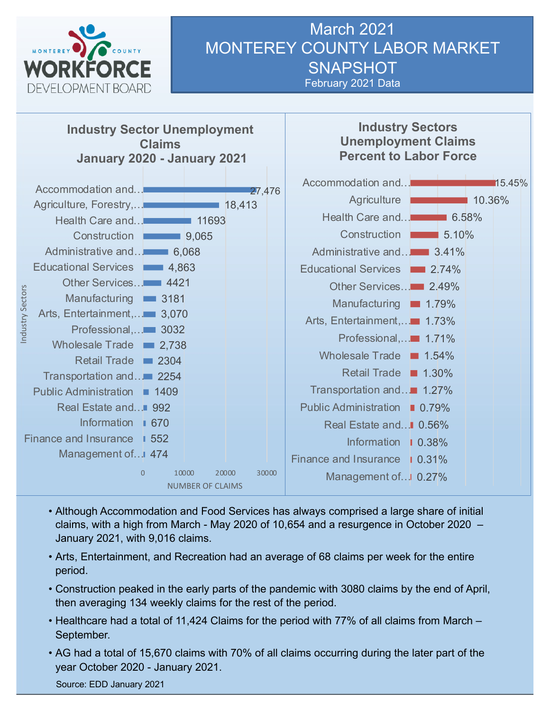

#### March 2021 MONTEREY COUNTY LABOR MARKET **SNAPSHOT** February 2021 Data



- Although Accommodation and Food Services has always comprised a large share of initial claims, with a high from March - May 2020 of 10,654 and a resurgence in October 2020 – January 2021, with 9,016 claims.
- Arts, Entertainment, and Recreation had an average of 68 claims per week for the entire period.
- Construction peaked in the early parts of the pandemic with 3080 claims by the end of April, then averaging 134 weekly claims for the rest of the period.
- Healthcare had a total of 11,424 Claims for the period with 77% of all claims from March September.
- AG had a total of 15,670 claims with 70% of all claims occurring during the later part of the year October 2020 - January 2021.

Source: EDD January 2021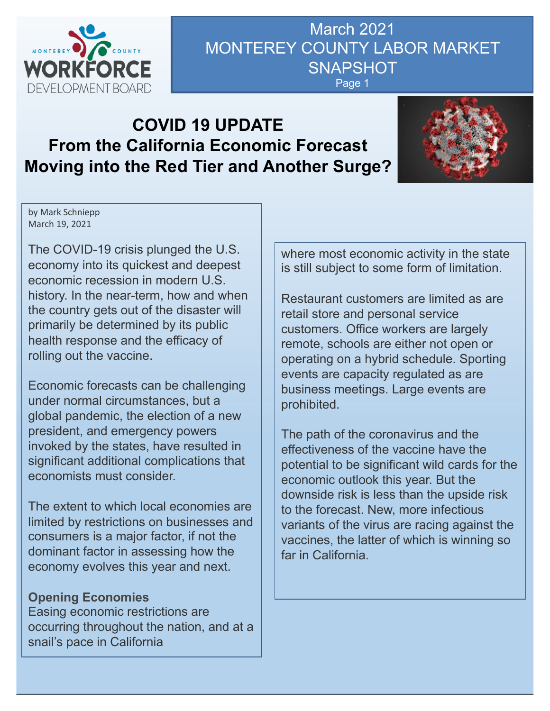

# March 2021 MONTEREY COUNTY LABOR MARKET **SNAPSHOT**

#### Page 1

## **COVID 19 UPDATE From the California Economic Forecast Moving into the Red Tier and Another Surge?**



by Mark Schniepp March 19, 2021

The COVID-19 crisis plunged the U.S. economy into its quickest and deepest economic recession in modern U.S. history. In the near-term, how and when the country gets out of the disaster will primarily be determined by its public health response and the efficacy of rolling out the vaccine.

Economic forecasts can be challenging under normal circumstances, but a global pandemic, the election of a new president, and emergency powers invoked by the states, have resulted in significant additional complications that economists must consider.

The extent to which local economies are limited by restrictions on businesses and consumers is a major factor, if not the dominant factor in assessing how the economy evolves this year and next.

#### **Opening Economies**

Easing economic restrictions are occurring throughout the nation, and at a snail's pace in California

where most economic activity in the state is still subject to some form of limitation.

Restaurant customers are limited as are retail store and personal service customers. Office workers are largely remote, schools are either not open or operating on a hybrid schedule. Sporting events are capacity regulated as are business meetings. Large events are prohibited.

The path of the coronavirus and the effectiveness of the vaccine have the potential to be significant wild cards for the economic outlook this year. But the downside risk is less than the upside risk to the forecast. New, more infectious variants of the virus are racing against the vaccines, the latter of which is winning so far in California.